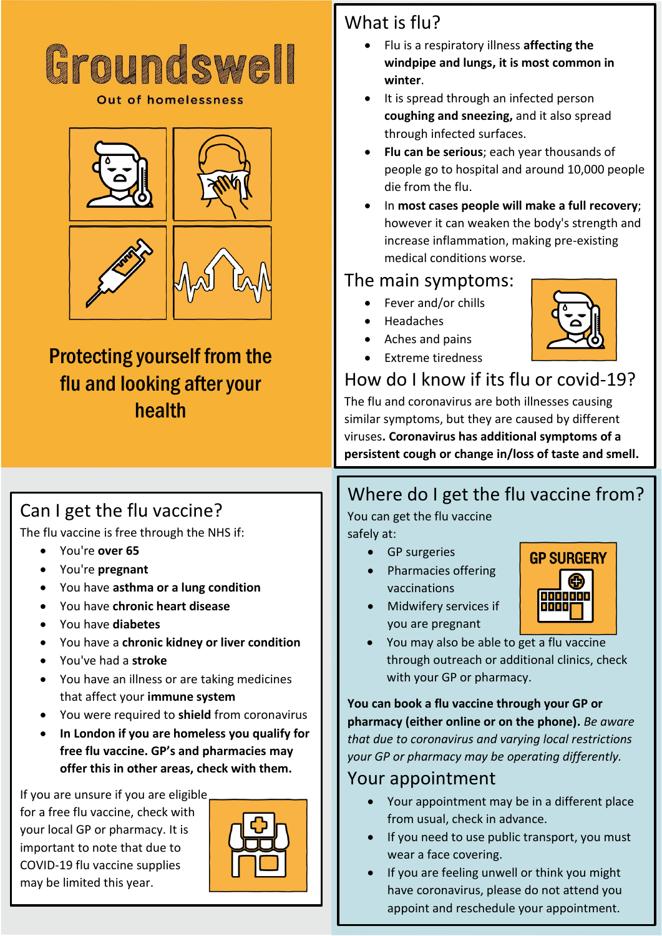

**Out of homelessness** 



## Protecting yourself from the flu and looking after your health

## What is flu?

- Flu is a respiratory illness **affecting the windpipe and lungs, it is most common in winter**.
- It is spread through an infected person **coughing and sneezing,** and it also spread through infected surfaces.
- **Flu can be serious**; each year thousands of people go to hospital and around 10,000 people die from the flu.
- In **most cases people will make a full recovery**; however it can weaken the body's strength and increase inflammation, making pre-existing medical conditions worse.

#### The main symptoms:

- Fever and/or chills
- Headaches
- Aches and pains
- Extreme tiredness

## How do I know if its flu or covid-19?

The flu and coronavirus are both illnesses causing similar symptoms, but they are caused by different viruses**. Coronavirus has additional symptoms of a persistent cough or change in/loss of taste and smell.** 

## Can I get the flu vaccine?

The flu vaccine is free through the NHS if:

- You're **over 65**
- You're **pregnant**
- You have **asthma or a lung condition**
- You have **chronic heart disease**
- You have **diabetes**
- You have a **chronic kidney or liver condition**
- You've had a **stroke**
- You have an illness or are taking medicines that affect your **immune system**
- You were required to **shield** from coronavirus
- **In London if you are homeless you qualify for free flu vaccine. GP's and pharmacies may offer this in other areas, check with them.**

If you are unsure if you are eligible for a free flu vaccine, check with your local GP or pharmacy. It is important to note that due to COVID-19 flu vaccine supplies may be limited this year.



## Where do I get the flu vaccine from?

You can get the flu vaccine safely at:

- GP surgeries
- Pharmacies offering vaccinations



- Midwifery services if you are pregnant
- You may also be able to get a flu vaccine through outreach or additional clinics, check with your GP or pharmacy.

**You can book a flu vaccine through your GP or pharmacy (either online or on the phone).** *Be aware that due to coronavirus and varying local restrictions your GP or pharmacy may be operating differently.*

### Your appointment

- Your appointment may be in a different place from usual, check in advance.
- If you need to use public transport, you must wear a face covering.
- If you are feeling unwell or think you might have coronavirus, please do not attend you appoint and reschedule your appointment.